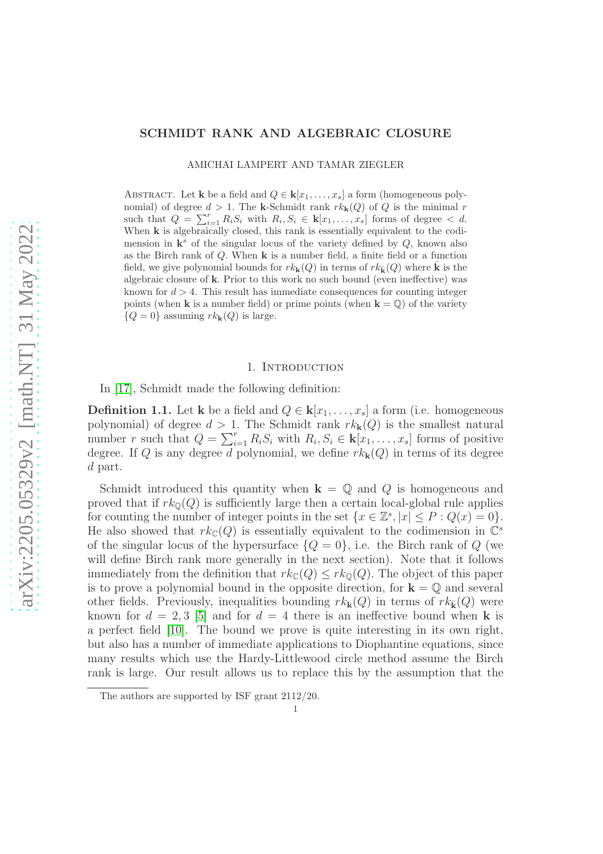#### SCHMIDT RANK AND ALGEBRAIC CLOSURE

AMICHAI LAMPERT AND TAMAR ZIEGLER

ABSTRACT. Let **k** be a field and  $Q \in \mathbf{k}[x_1, \ldots, x_s]$  a form (homogeneous polynomial) of degree  $d > 1$ . The k-Schmidt rank  $rk_k(Q)$  of Q is the minimal r such that  $Q = \sum_{i=1}^r R_i S_i$  with  $R_i, S_i \in \mathbf{k}[x_1, \ldots, x_s]$  forms of degree  $\lt d$ . When **k** is algebraically closed, this rank is essentially equivalent to the codimension in  $\mathbf{k}^s$  of the singular locus of the variety defined by  $Q$ , known also as the Birch rank of  $Q$ . When  $\bf{k}$  is a number field, a finite field or a function field, we give polynomial bounds for  $rk_{\mathbf{k}}(Q)$  in terms of  $rk_{\mathbf{k}}(Q)$  where  $\bar{\mathbf{k}}$  is the algebraic closure of k. Prior to this work no such bound (even ineffective) was known for  $d > 4$ . This result has immediate consequences for counting integer points (when **k** is a number field) or prime points (when  $\mathbf{k} = \mathbb{Q}$ ) of the variety  ${Q = 0}$  assuming  $rk_{\mathbf{k}}(Q)$  is large.

### 1. INTRODUCTION

In [\[17\]](#page-16-0), Schmidt made the following definition:

**Definition 1.1.** Let k be a field and  $Q \in k[x_1, \ldots, x_s]$  a form (i.e. homogeneous polynomial) of degree  $d > 1$ . The Schmidt rank  $rk_{\mathbf{k}}(Q)$  is the smallest natural number r such that  $Q = \sum_{i=1}^r R_i S_i$  with  $R_i, S_i \in \mathbf{k}[x_1, \ldots, x_s]$  forms of positive degree. If Q is any degree d polynomial, we define  $rk_{\mathbf{k}}(Q)$  in terms of its degree d part.

Schmidt introduced this quantity when  $\mathbf{k} = \mathbb{Q}$  and  $Q$  is homogeneous and proved that if  $rk_{\mathbb{Q}}(Q)$  is sufficiently large then a certain local-global rule applies for counting the number of integer points in the set  $\{x \in \mathbb{Z}^s, |x| \leq P : Q(x) = 0\}.$ He also showed that  $rk_{\mathbb{C}}(Q)$  is essentially equivalent to the codimension in  $\mathbb{C}^s$ of the singular locus of the hypersurface  $\{Q = 0\}$ , i.e. the Birch rank of Q (we will define Birch rank more generally in the next section). Note that it follows immediately from the definition that  $rk_{\mathbb{C}}(Q) \leq rk_{\mathbb{Q}}(Q)$ . The object of this paper is to prove a polynomial bound in the opposite direction, for  $\mathbf{k} = \mathbb{Q}$  and several other fields. Previously, inequalities bounding  $rk_{\mathbf{k}}(Q)$  in terms of  $rk_{\mathbf{k}}(Q)$  were known for  $d = 2, 3$  [\[5\]](#page-15-0) and for  $d = 4$  there is an ineffective bound when **k** is a perfect field [\[10\]](#page-15-1). The bound we prove is quite interesting in its own right, but also has a number of immediate applications to Diophantine equations, since many results which use the Hardy-Littlewood circle method assume the Birch rank is large. Our result allows us to replace this by the assumption that the

The authors are supported by ISF grant 2112/20.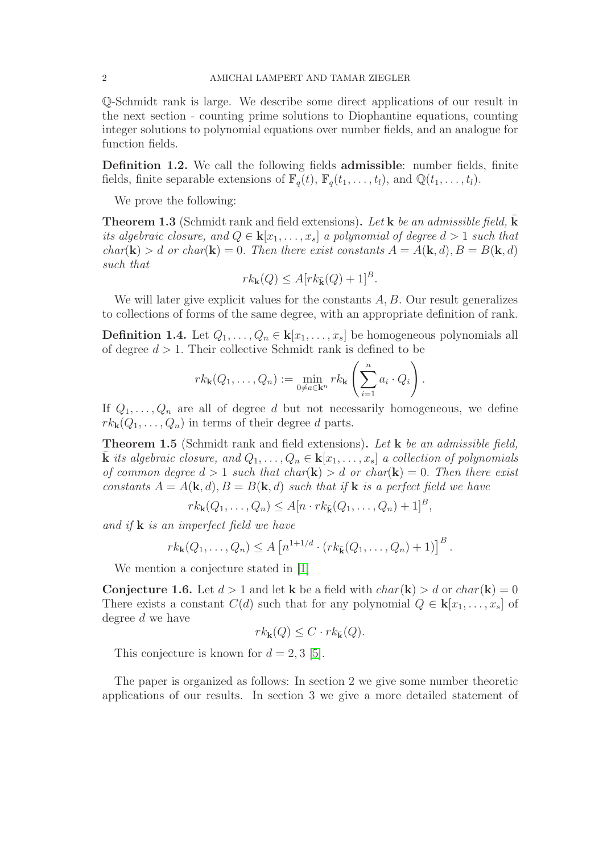Q-Schmidt rank is large. We describe some direct applications of our result in the next section - counting prime solutions to Diophantine equations, counting integer solutions to polynomial equations over number fields, and an analogue for function fields.

Definition 1.2. We call the following fields admissible: number fields, finite fields, finite separable extensions of  $\mathbb{F}_q(t)$ ,  $\mathbb{F}_q(t_1,\ldots,t_l)$ , and  $\mathbb{Q}(t_1,\ldots,t_l)$ .

We prove the following:

**Theorem 1.3** (Schmidt rank and field extensions). Let **k** be an admissible field, **k** its algebraic closure, and  $Q \in \mathbf{k}[x_1,\ldots,x_s]$  a polynomial of degree  $d > 1$  such that  $char(\mathbf{k}) > d$  or  $char(\mathbf{k}) = 0$ . Then there exist constants  $A = A(\mathbf{k}, d), B = B(\mathbf{k}, d)$ such that

$$
rk_{\mathbf{k}}(Q) \le A[rk_{\bar{\mathbf{k}}}(Q) + 1]^{B}.
$$

We will later give explicit values for the constants  $A, B$ . Our result generalizes to collections of forms of the same degree, with an appropriate definition of rank.

**Definition 1.4.** Let  $Q_1, \ldots, Q_n \in \mathbf{k}[x_1, \ldots, x_s]$  be homogeneous polynomials all of degree  $d > 1$ . Their collective Schmidt rank is defined to be

$$
rk_{\mathbf{k}}(Q_1,\ldots,Q_n):=\min_{0\neq a\in\mathbf{k}^n}rk_{\mathbf{k}}\left(\sum_{i=1}^n a_i\cdot Q_i\right).
$$

If  $Q_1, \ldots, Q_n$  are all of degree d but not necessarily homogeneous, we define  $rk_{\mathbf{k}}(Q_1,\ldots,Q_n)$  in terms of their degree d parts.

<span id="page-1-0"></span>**Theorem 1.5** (Schmidt rank and field extensions). Let **k** be an admissible field, **k** its algebraic closure, and  $Q_1, \ldots, Q_n \in \mathbf{k}[x_1, \ldots, x_s]$  a collection of polynomials of common degree  $d > 1$  such that char(k)  $> d$  or char(k)  $= 0$ . Then there exist constants  $A = A(\mathbf{k}, d), B = B(\mathbf{k}, d)$  such that if **k** is a perfect field we have

 $rk_{\mathbf{k}}(Q_1,\ldots,Q_n) \leq A[n \cdot rk_{\bar{\mathbf{k}}}(Q_1,\ldots,Q_n) + 1]^B,$ 

and if  $\bf{k}$  is an imperfect field we have

$$
rk_{\mathbf{k}}(Q_1,\ldots,Q_n)\leq A\left[n^{1+1/d}\cdot(rk_{\bar{\mathbf{k}}}(Q_1,\ldots,Q_n)+1)\right]^B.
$$

We mention a conjecture stated in [\[1\]](#page-15-2)

**Conjecture 1.6.** Let  $d > 1$  and let k be a field with  $char(\mathbf{k}) > d$  or  $char(\mathbf{k}) = 0$ There exists a constant  $C(d)$  such that for any polynomial  $Q \in \mathbf{k}[x_1, \ldots, x_s]$  of degree d we have

$$
rk_{\mathbf{k}}(Q) \leq C \cdot rk_{\bar{\mathbf{k}}}(Q).
$$

This conjecture is known for  $d = 2, 3$  [\[5\]](#page-15-0).

The paper is organized as follows: In section 2 we give some number theoretic applications of our results. In section 3 we give a more detailed statement of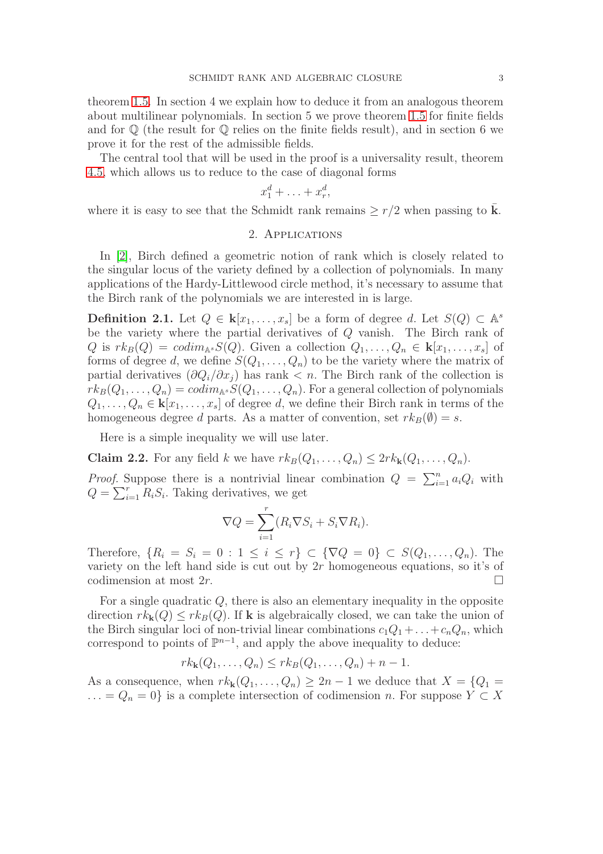theorem [1.5.](#page-1-0) In section 4 we explain how to deduce it from an analogous theorem about multilinear polynomials. In section 5 we prove theorem [1.5](#page-1-0) for finite fields and for  $\mathbb Q$  (the result for  $\mathbb Q$  relies on the finite fields result), and in section 6 we prove it for the rest of the admissible fields.

The central tool that will be used in the proof is a universality result, theorem [4.5,](#page-8-0) which allows us to reduce to the case of diagonal forms

$$
x_1^d + \ldots + x_r^d,
$$

where it is easy to see that the Schmidt rank remains  $\geq r/2$  when passing to **k**.

## 2. Applications

In [\[2\]](#page-15-3), Birch defined a geometric notion of rank which is closely related to the singular locus of the variety defined by a collection of polynomials. In many applications of the Hardy-Littlewood circle method, it's necessary to assume that the Birch rank of the polynomials we are interested in is large.

**Definition 2.1.** Let  $Q \in \mathbf{k}[x_1,\ldots,x_s]$  be a form of degree d. Let  $S(Q) \subset \mathbb{A}^s$ be the variety where the partial derivatives of Q vanish. The Birch rank of Q is  $rk_B(Q) = codim_{\mathbb{A}^s}S(Q)$ . Given a collection  $Q_1, \ldots, Q_n \in \mathbf{k}[x_1, \ldots, x_s]$  of forms of degree d, we define  $S(Q_1, \ldots, Q_n)$  to be the variety where the matrix of partial derivatives  $(\partial Q_i/\partial x_j)$  has rank  $\lt n$ . The Birch rank of the collection is  $rk_B(Q_1,\ldots,Q_n)=codim_{\mathbb{A}^s}S(Q_1,\ldots,Q_n)$ . For a general collection of polynomials  $Q_1, \ldots, Q_n \in \mathbf{k}[x_1, \ldots, x_s]$  of degree d, we define their Birch rank in terms of the homogeneous degree d parts. As a matter of convention, set  $rk_B(\emptyset) = s$ .

Here is a simple inequality we will use later.

<span id="page-2-0"></span>**Claim 2.2.** For any field k we have  $rk_B(Q_1, \ldots, Q_n) \leq 2rk_k(Q_1, \ldots, Q_n)$ .

*Proof.* Suppose there is a nontrivial linear combination  $Q = \sum_{i=1}^{n} a_i Q_i$  with  $Q = \sum_{i=1}^{r} R_i S_i$ . Taking derivatives, we get

$$
\nabla Q = \sum_{i=1}^{r} (R_i \nabla S_i + S_i \nabla R_i).
$$

Therefore,  $\{R_i = S_i = 0 : 1 \le i \le r\} \subset \{\nabla Q = 0\} \subset S(Q_1, \ldots, Q_n)$ . The variety on the left hand side is cut out by  $2r$  homogeneous equations, so it's of codimension at most  $2r$ .

For a single quadratic Q, there is also an elementary inequality in the opposite direction  $rk_{\mathbf{k}}(Q) \leq rk_B(Q)$ . If **k** is algebraically closed, we can take the union of the Birch singular loci of non-trivial linear combinations  $c_1Q_1 + \ldots + c_nQ_n$ , which correspond to points of  $\mathbb{P}^{n-1}$ , and apply the above inequality to deduce:

$$
rk_{\mathbf{k}}(Q_1,\ldots,Q_n)\leq rk_B(Q_1,\ldots,Q_n)+n-1.
$$

As a consequence, when  $rk_{\mathbf{k}}(Q_1,\ldots,Q_n) \geq 2n-1$  we deduce that  $X = \{Q_1 =$ ... =  $Q_n = 0$ } is a complete intersection of codimension n. For suppose  $Y \subset X$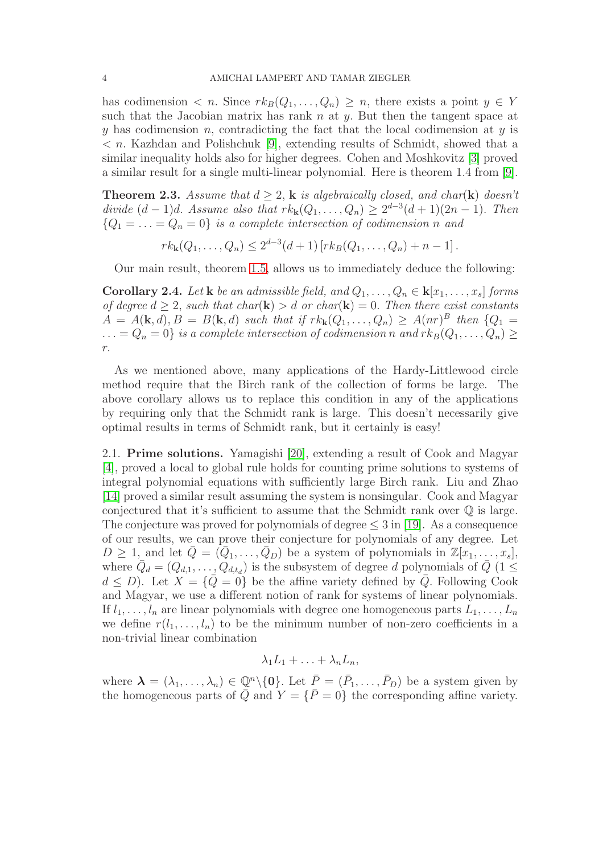has codimension  $\langle n. \rangle$  Since  $rk_B(Q_1,\ldots,Q_n) \geq n$ , there exists a point  $y \in Y$ such that the Jacobian matrix has rank n at  $y$ . But then the tangent space at y has codimension n, contradicting the fact that the local codimension at  $y$  is  $\langle n \rangle$ . Kazhdan and Polishchuk [\[9\]](#page-15-4), extending results of Schmidt, showed that a similar inequality holds also for higher degrees. Cohen and Moshkovitz [\[3\]](#page-15-5) proved a similar result for a single multi-linear polynomial. Here is theorem 1.4 from [\[9\]](#page-15-4).

**Theorem 2.3.** Assume that  $d \geq 2$ , k is algebraically closed, and char(k) doesn't divide  $(d-1)d$ . Assume also that  $rk_{\mathbf{k}}(Q_1,\ldots,Q_n) \geq 2^{d-3}(d+1)(2n-1)$ . Then  ${Q_1 = \ldots = Q_n = 0}$  is a complete intersection of codimension n and

 $rk_{\mathbf{k}}(Q_1,\ldots,Q_n)\leq 2^{d-3}(d+1)\left[rk_B(Q_1,\ldots,Q_n)+n-1\right].$ 

Our main result, theorem [1.5,](#page-1-0) allows us to immediately deduce the following:

**Corollary 2.4.** Let **k** be an admissible field, and  $Q_1, \ldots, Q_n \in \mathbf{k}[x_1, \ldots, x_s]$  forms of degree  $d \geq 2$ , such that char(**k**)  $> d$  or char(**k**) = 0. Then there exist constants  $A = A(\mathbf{k}, d), B = B(\mathbf{k}, d)$  such that if  $rk_{\mathbf{k}}(Q_1, \ldots, Q_n) \geq A(nr)^B$  then  $\{Q_1 =$  $\ldots = Q_n = 0$  is a complete intersection of codimension n and  $rk_B(Q_1, \ldots, Q_n) \ge$ r.

As we mentioned above, many applications of the Hardy-Littlewood circle method require that the Birch rank of the collection of forms be large. The above corollary allows us to replace this condition in any of the applications by requiring only that the Schmidt rank is large. This doesn't necessarily give optimal results in terms of Schmidt rank, but it certainly is easy!

2.1. Prime solutions. Yamagishi [\[20\]](#page-16-1), extending a result of Cook and Magyar [\[4\]](#page-15-6), proved a local to global rule holds for counting prime solutions to systems of integral polynomial equations with sufficiently large Birch rank. Liu and Zhao [\[14\]](#page-15-7) proved a similar result assuming the system is nonsingular. Cook and Magyar conjectured that it's sufficient to assume that the Schmidt rank over  $\mathbb Q$  is large. The conjecture was proved for polynomials of degree  $\leq 3$  in [\[19\]](#page-16-2). As a consequence of our results, we can prove their conjecture for polynomials of any degree. Let  $D \geq 1$ , and let  $\overline{Q} = (\overline{Q}_1, \ldots, \overline{Q}_D)$  be a system of polynomials in  $\mathbb{Z}[x_1, \ldots, x_s],$ where  $\overline{Q}_d = (Q_{d,1}, \ldots, Q_{d,t_d})$  is the subsystem of degree d polynomials of  $\overline{Q}$  (1  $\leq$  $d \leq D$ ). Let  $X = \{Q = 0\}$  be the affine variety defined by  $\overline{Q}$ . Following Cook and Magyar, we use a different notion of rank for systems of linear polynomials. If  $l_1, \ldots, l_n$  are linear polynomials with degree one homogeneous parts  $L_1, \ldots, L_n$ we define  $r(l_1, \ldots, l_n)$  to be the minimum number of non-zero coefficients in a non-trivial linear combination

 $\lambda_1L_1 + \ldots + \lambda_nL_n$ 

where  $\lambda = (\lambda_1, \ldots, \lambda_n) \in \mathbb{Q}^n \setminus \{0\}$ . Let  $\overline{P} = (\overline{P}_1, \ldots, \overline{P}_D)$  be a system given by the homogeneous parts of  $\overline{Q}$  and  $Y = \{\overline{P} = 0\}$  the corresponding affine variety.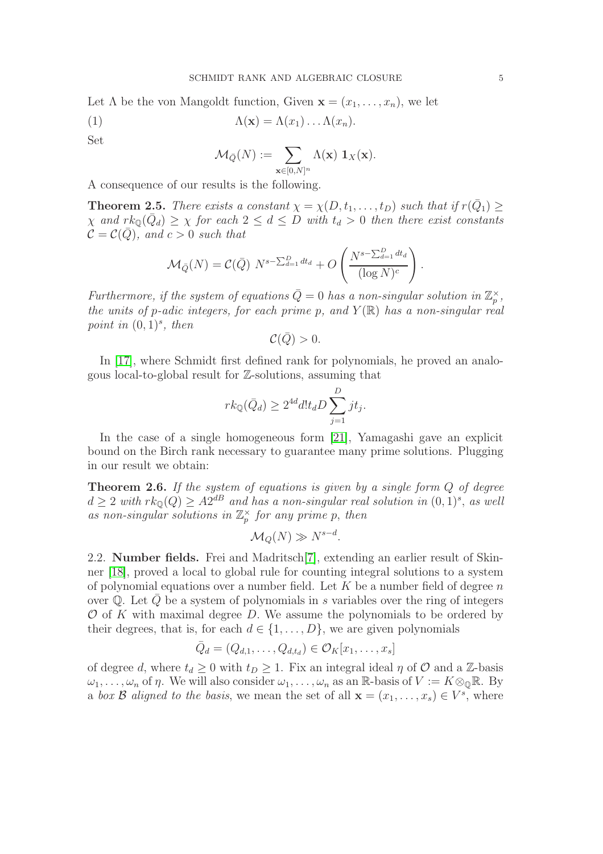Let  $\Lambda$  be the von Mangoldt function, Given  $\mathbf{x} = (x_1, \ldots, x_n)$ , we let

(1) 
$$
\Lambda(\mathbf{x}) = \Lambda(x_1) \dots \Lambda(x_n).
$$

Set

$$
\mathcal{M}_{\bar{Q}}(N) := \sum_{\mathbf{x} \in [0,N]^n} \Lambda(\mathbf{x}) \ \mathbf{1}_X(\mathbf{x}).
$$

A consequence of our results is the following.

**Theorem 2.5.** There exists a constant  $\chi = \chi(D, t_1, \ldots, t_D)$  such that if  $r(\bar{Q}_1) \geq$  $\chi$  and  $rk_{\mathbb{Q}}(\bar{Q}_d) \geq \chi$  for each  $2 \leq d \leq D$  with  $t_d > 0$  then there exist constants  $\mathcal{C} = \mathcal{C}(\bar{Q})$ , and  $c > 0$  such that

$$
\mathcal{M}_{\bar{Q}}(N) = \mathcal{C}(\bar{Q}) N^{s - \sum_{d=1}^{D} dt_d} + O\left(\frac{N^{s - \sum_{d=1}^{D} dt_d}}{(\log N)^c}\right)
$$

Furthermore, if the system of equations  $\overline{Q} = 0$  has a non-singular solution in  $\mathbb{Z}_p^{\times}$ , the units of p-adic integers, for each prime p, and  $Y(\mathbb{R})$  has a non-singular real point in  $(0,1)^s$ , then

$$
\mathcal{C}(\bar{Q})>0.
$$

In [\[17\]](#page-16-0), where Schmidt first defined rank for polynomials, he proved an analogous local-to-global result for Z-solutions, assuming that

$$
rk_{\mathbb{Q}}(\bar{Q}_d) \ge 2^{4d} dl t_d D \sum_{j=1}^D j t_j.
$$

In the case of a single homogeneous form [\[21\]](#page-16-3), Yamagashi gave an explicit bound on the Birch rank necessary to guarantee many prime solutions. Plugging in our result we obtain:

**Theorem 2.6.** If the system of equations is given by a single form  $Q$  of degree  $d \geq 2$  with  $rk_{\mathbb{Q}}(Q) \geq A2^{dB}$  and has a non-singular real solution in  $(0,1)^s$ , as well as non-singular solutions in  $\mathbb{Z}_p^{\times}$  for any prime p, then

$$
\mathcal{M}_Q(N) \gg N^{s-d}.
$$

2.2. Number fields. Frei and Madritsch[\[7\]](#page-15-8), extending an earlier result of Skinner [\[18\]](#page-16-4), proved a local to global rule for counting integral solutions to a system of polynomial equations over a number field. Let  $K$  be a number field of degree n over  $\mathbb Q$ . Let  $Q$  be a system of polynomials in s variables over the ring of integers  $\mathcal O$  of K with maximal degree D. We assume the polynomials to be ordered by their degrees, that is, for each  $d \in \{1, \ldots, D\}$ , we are given polynomials

$$
\bar{Q}_d = (Q_{d,1},\ldots,Q_{d,t_d}) \in \mathcal{O}_K[x_1,\ldots,x_s]
$$

of degree d, where  $t_d \geq 0$  with  $t_D \geq 1$ . Fix an integral ideal  $\eta$  of  $\mathcal O$  and a Z-basis  $\omega_1, \ldots, \omega_n$  of  $\eta$ . We will also consider  $\omega_1, \ldots, \omega_n$  as an R-basis of  $V := K \otimes_{\mathbb{Q}} \mathbb{R}$ . By a box B aligned to the basis, we mean the set of all  $\mathbf{x} = (x_1, \ldots, x_s) \in V^s$ , where

.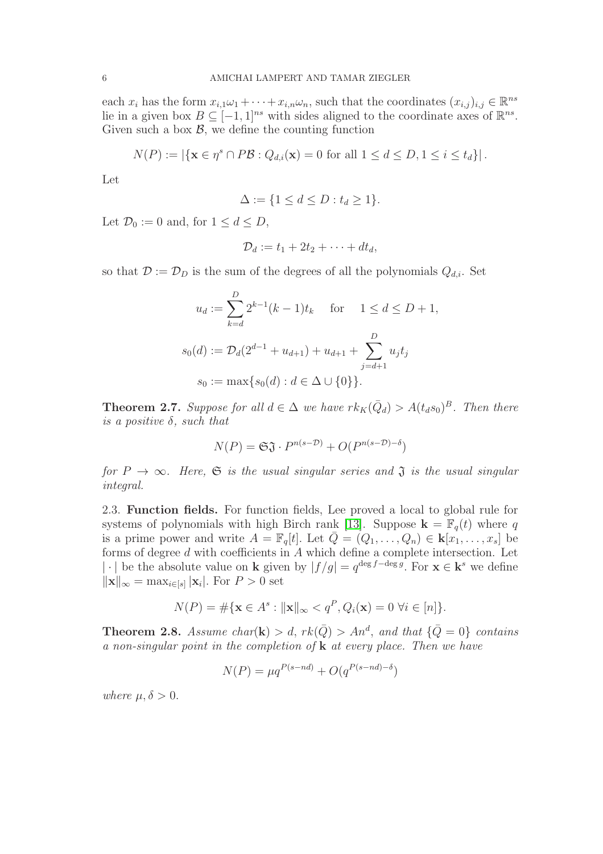each  $x_i$  has the form  $x_{i,1}\omega_1 + \cdots + x_{i,n}\omega_n$ , such that the coordinates  $(x_{i,j})_{i,j} \in \mathbb{R}^{ns}$ lie in a given box  $B \subseteq [-1,1]^{ns}$  with sides aligned to the coordinate axes of  $\mathbb{R}^{ns}$ . Given such a box  $\mathcal{B}$ , we define the counting function

$$
N(P) := |\{ \mathbf{x} \in \eta^s \cap P\mathcal{B} : Q_{d,i}(\mathbf{x}) = 0 \text{ for all } 1 \le d \le D, 1 \le i \le t_d \}|.
$$

Let

$$
\Delta := \{ 1 \le d \le D : t_d \ge 1 \}.
$$

Let  $\mathcal{D}_0 := 0$  and, for  $1 \leq d \leq D$ ,

$$
\mathcal{D}_d := t_1 + 2t_2 + \cdots + dt_d,
$$

so that  $\mathcal{D} := \mathcal{D}_D$  is the sum of the degrees of all the polynomials  $Q_{d,i}$ . Set

$$
u_d := \sum_{k=d}^{D} 2^{k-1}(k-1)t_k \quad \text{for} \quad 1 \le d \le D+1,
$$
  

$$
s_0(d) := \mathcal{D}_d(2^{d-1} + u_{d+1}) + u_{d+1} + \sum_{j=d+1}^{D} u_j t_j
$$
  

$$
s_0 := \max\{s_0(d) : d \in \Delta \cup \{0\}\}.
$$

**Theorem 2.7.** Suppose for all  $d \in \Delta$  we have  $rk_K(\bar{Q}_d) > A(t_d s_0)^B$ . Then there is a positive  $\delta$ , such that

$$
N(P) = \mathfrak{S} \mathfrak{J} \cdot P^{n(s-\mathcal{D})} + O(P^{n(s-\mathcal{D})-\delta})
$$

for  $P \to \infty$ . Here,  $\mathfrak S$  is the usual singular series and  $\mathfrak J$  is the usual singular integral.

2.3. Function fields. For function fields, Lee proved a local to global rule for systems of polynomials with high Birch rank [\[13\]](#page-15-9). Suppose  $\mathbf{k} = \mathbb{F}_q(t)$  where q is a prime power and write  $A = \mathbb{F}_q[t]$ . Let  $\overline{Q} = (Q_1, \ldots, Q_n) \in \mathbf{k}[x_1, \ldots, x_s]$  be forms of degree d with coefficients in A which define a complete intersection. Let |⋅ be the absolute value on **k** given by  $|f/g| = q^{\deg f - \deg g}$ . For  $\mathbf{x} \in \mathbf{k}^s$  we define  $\|\mathbf{x}\|_{\infty} = \max_{i \in [s]} |\mathbf{x}_i|$ . For  $P > 0$  set

$$
N(P) = \# \{ \mathbf{x} \in A^s : ||\mathbf{x}||_{\infty} < q^P, Q_i(\mathbf{x}) = 0 \ \forall i \in [n] \}.
$$

**Theorem 2.8.** Assume char(**k**) > d,  $rk(\bar{Q})$  > An<sup>d</sup>, and that  $\{\bar{Q}=0\}$  contains a non-singular point in the completion of  $k$  at every place. Then we have

$$
N(P) = \mu q^{P(s-nd)} + O(q^{P(s-nd)-\delta})
$$

where  $\mu, \delta > 0$ .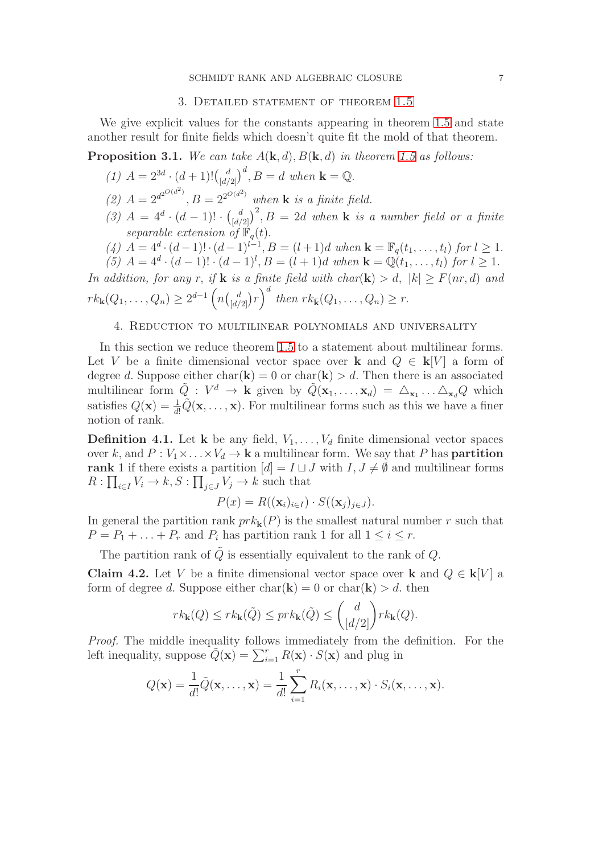#### 3. DETAILED STATEMENT OF THEOREM [1.5](#page-1-0)

We give explicit values for the constants appearing in theorem [1.5](#page-1-0) and state another result for finite fields which doesn't quite fit the mold of that theorem.

**Proposition 3.1.** We can take  $A(\mathbf{k}, d)$ ,  $B(\mathbf{k}, d)$  in theorem [1.5](#page-1-0) as follows:

(1) 
$$
A = 2^{3d} \cdot (d+1)! \binom{d}{[d/2]}^d
$$
,  $B = d$  when  $\mathbf{k} = \mathbb{Q}$ .

- (2)  $A = 2^{d^{2}O(d^2)}$ ,  $B = 2^{2^{O(d^2)}}$  when **k** is a finite field.
- (3)  $A = 4^d \cdot (d-1)! \cdot {d \choose [d/2]}^2$ ,  $B = 2d$  when **k** is a number field or a finite separable extension of  $\mathbb{F}_q(t)$ .
- (4)  $A = 4^d \cdot (d-1)! \cdot (d-1)^{l-1}, B = (l+1)d$  when  $\mathbf{k} = \mathbb{F}_q(t_1, \ldots, t_l)$  for  $l \geq 1$ .
- (5)  $A = 4^d \cdot (d-1)! \cdot (d-1)^l$ ,  $B = (l+1)d$  when  $\mathbf{k} = \mathbb{Q}(t_1, \ldots, t_l)$  for  $l \geq 1$ .

In addition, for any r, if **k** is a finite field with char(**k**) > d,  $|k| \geq F(nr, d)$  and  $rk_{\mathbf{k}}(Q_1,\ldots,Q_n) \geq 2^{d-1} \left(n \binom{d}{[d/2]} r\right)^d$  then  $rk_{\mathbf{k}}(Q_1,\ldots,Q_n) \geq r$ .

### 4. Reduction to multilinear polynomials and universality

In this section we reduce theorem [1.5](#page-1-0) to a statement about multilinear forms. Let V be a finite dimensional vector space over k and  $Q \in k[V]$  a form of degree d. Suppose either char( $\mathbf{k}$ ) = 0 or char( $\mathbf{k}$ ) > d. Then there is an associated multilinear form  $\tilde{Q}: V^d \to \mathbf{k}$  given by  $\tilde{Q}(\mathbf{x}_1,\ldots,\mathbf{x}_d) = \Delta_{\mathbf{x}_1} \ldots \Delta_{\mathbf{x}_d} Q$  which satisfies  $Q(\mathbf{x}) = \frac{1}{d!} \tilde{Q}(\mathbf{x}, \dots, \mathbf{x})$ . For multilinear forms such as this we have a finer notion of rank.

**Definition 4.1.** Let **k** be any field,  $V_1, \ldots, V_d$  finite dimensional vector spaces over k, and  $P: V_1 \times \ldots \times V_d \to \mathbf{k}$  a multilinear form. We say that P has **partition** rank 1 if there exists a partition  $[d] = I \sqcup J$  with  $I, J \neq \emptyset$  and multilinear forms  $R: \prod_{i \in I} V_i \to k, S: \prod_{j \in J} V_j \to k$  such that

$$
P(x) = R((\mathbf{x}_i)_{i \in I}) \cdot S((\mathbf{x}_j)_{j \in J}).
$$

In general the partition rank  $prk_{\mathbf{k}}(P)$  is the smallest natural number r such that  $P = P_1 + \ldots + P_r$  and  $P_i$  has partition rank 1 for all  $1 \leq i \leq r$ .

The partition rank of  $\tilde{Q}$  is essentially equivalent to the rank of  $Q$ .

<span id="page-6-0"></span>Claim 4.2. Let V be a finite dimensional vector space over k and  $Q \in \mathbf{k}[V]$  a form of degree d. Suppose either  $char(\mathbf{k}) = 0$  or  $char(\mathbf{k}) > d$ , then

$$
rk_{\mathbf{k}}(Q) \leq rk_{\mathbf{k}}(\tilde{Q}) \leq prk_{\mathbf{k}}(\tilde{Q}) \leq {d \choose \lfloor d/2 \rfloor} rk_{\mathbf{k}}(Q).
$$

Proof. The middle inequality follows immediately from the definition. For the left inequality, suppose  $\tilde{Q}(\mathbf{x}) = \sum_{i=1}^{r} R(\mathbf{x}) \cdot S(\mathbf{x})$  and plug in

$$
Q(\mathbf{x}) = \frac{1}{d!} \tilde{Q}(\mathbf{x}, \dots, \mathbf{x}) = \frac{1}{d!} \sum_{i=1}^{r} R_i(\mathbf{x}, \dots, \mathbf{x}) \cdot S_i(\mathbf{x}, \dots, \mathbf{x}).
$$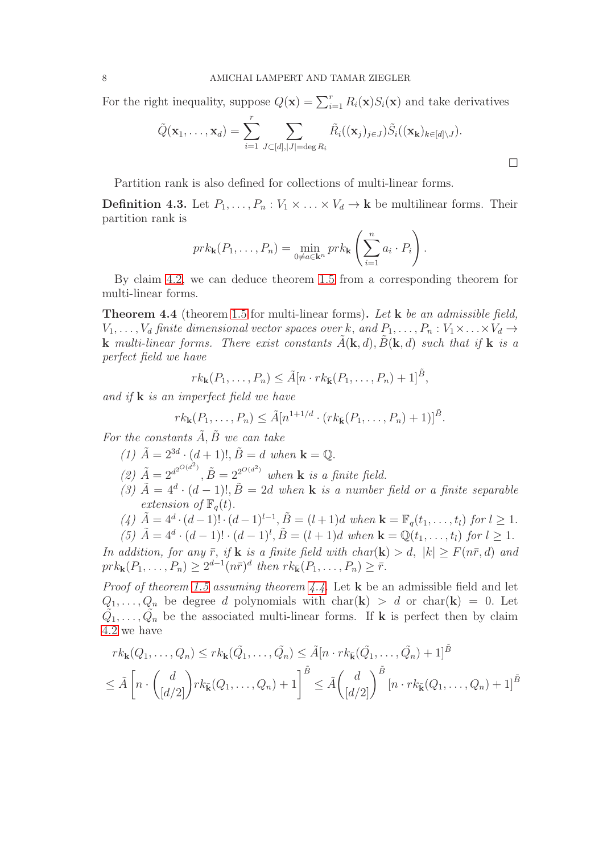For the right inequality, suppose  $Q(\mathbf{x}) = \sum_{i=1}^{r} R_i(\mathbf{x}) S_i(\mathbf{x})$  and take derivatives

$$
\tilde{Q}(\mathbf{x}_1,\ldots,\mathbf{x}_d)=\sum_{i=1}^r\sum_{J\subset [d],|J|=\deg R_i}\tilde{R}_i((\mathbf{x}_j)_{j\in J})\tilde{S}_i((\mathbf{x_k})_{k\in [d]\setminus J}).
$$

 $\Box$ 

Partition rank is also defined for collections of multi-linear forms.

**Definition 4.3.** Let  $P_1, \ldots, P_n : V_1 \times \ldots \times V_d \to \mathbf{k}$  be multilinear forms. Their partition rank is

$$
prk_{\mathbf{k}}(P_1,\ldots,P_n)=\min_{0\neq a\in\mathbf{k}^n} prk_{\mathbf{k}}\left(\sum_{i=1}^n a_i\cdot P_i\right).
$$

By claim [4.2,](#page-6-0) we can deduce theorem [1.5](#page-1-0) from a corresponding theorem for multi-linear forms.

<span id="page-7-0"></span>Theorem 4.4 (theorem [1.5](#page-1-0) for multi-linear forms). Let **k** be an admissible field,  $V_1, \ldots, V_d$  finite dimensional vector spaces over k, and  $P_1, \ldots, P_n : V_1 \times \ldots \times V_d \rightarrow$ **k** multi-linear forms. There exist constants  $\hat{A}(\mathbf{k}, d)$ ,  $\hat{B}(\mathbf{k}, d)$  such that if **k** is a perfect field we have

$$
rk_{\mathbf{k}}(P_1,\ldots,P_n)\leq \tilde{A}[n\cdot rk_{\tilde{\mathbf{k}}}(P_1,\ldots,P_n)+1]^{\tilde{B}},
$$

and if  $\bf{k}$  is an imperfect field we have

$$
rk_{\mathbf{k}}(P_1,\ldots,P_n) \leq \tilde{A}[n^{1+1/d} \cdot (rk_{\mathbf{k}}(P_1,\ldots,P_n)+1)]^{\tilde{B}}.
$$

For the constants  $\tilde{A}, \tilde{B}$  we can take

- (1)  $\tilde{A} = 2^{3d} \cdot (d+1)!, \tilde{B} = d$  when  $\mathbf{k} = \mathbb{Q}.$
- (2)  $\tilde{A} = 2^{d^{2}O(d^2)}$ ,  $\tilde{B} = 2^{2^{O(d^2)}}$  when **k** is a finite field.
- (3)  $\tilde{A} = 4^d \cdot (d-1)!$ ,  $\tilde{B} = 2d$  when **k** is a number field or a finite separable extension of  $\mathbb{F}_q(t)$ .
- (4)  $\tilde{A} = 4^d \cdot (d-1)! \cdot (d-1)^{l-1}, \tilde{B} = (l+1)d$  when  $\mathbf{k} = \mathbb{F}_q(t_1, \ldots, t_l)$  for  $l \geq 1$ .
- (5)  $\tilde{A} = 4^d \cdot (d-1)! \cdot (d-1)^l$ ,  $\tilde{B} = (l+1)d$  when  $\mathbf{k} = \mathbb{Q}(t_1, \ldots, t_l)$  for  $l \geq 1$ .

In addition, for any  $\bar{r}$ , if **k** is a finite field with char(**k**) > d,  $|k| \geq F(n\bar{r}, d)$  and  $prk_{\mathbf{k}}(P_1, ..., P_n) \geq 2^{d-1}(n\bar{r})^d$  then  $rk_{\mathbf{k}}(P_1, ..., P_n) \geq \bar{r}$ .

*Proof of theorem [1.5](#page-1-0) assuming theorem [4.4.](#page-7-0)* Let  $\bf{k}$  be an admissible field and let  $Q_1, \ldots, Q_n$  be degree d polynomials with char(k) > d or char(k) = 0. Let  $\tilde{Q}_1, \ldots, \tilde{Q}_n$  be the associated multi-linear forms. If **k** is perfect then by claim [4.2](#page-6-0) we have

$$
rk_{\mathbf{k}}(Q_1,\ldots,Q_n) \leq rk_{\mathbf{k}}(\tilde{Q_1},\ldots,\tilde{Q_n}) \leq \tilde{A}[n \cdot rk_{\tilde{\mathbf{k}}}(\tilde{Q_1},\ldots,\tilde{Q_n})+1]^{\tilde{B}}
$$
  

$$
\leq \tilde{A}\left[n \cdot \binom{d}{[d/2]} rk_{\tilde{\mathbf{k}}}(Q_1,\ldots,Q_n)+1\right]^{\tilde{B}} \leq \tilde{A}\binom{d}{[d/2]}^{\tilde{B}}[n \cdot rk_{\tilde{\mathbf{k}}}(Q_1,\ldots,Q_n)+1]^{\tilde{B}}
$$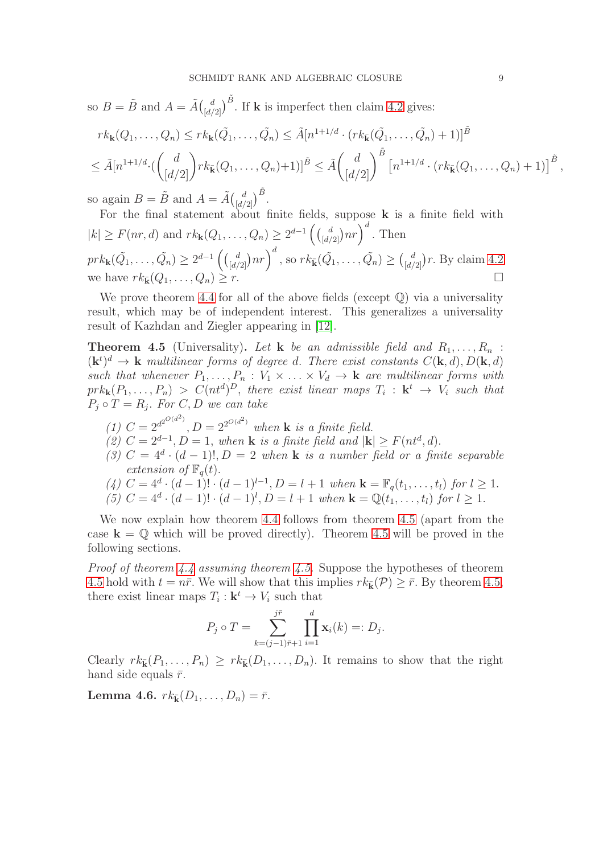so  $B = \tilde{B}$  and  $A = \tilde{A} {d \choose [d/2]}^{\tilde{B}}$ . If **k** is imperfect then claim [4.2](#page-6-0) gives:

$$
rk_{\mathbf{k}}(Q_1, ..., Q_n) \leq rk_{\mathbf{k}}(\tilde{Q_1}, ..., \tilde{Q_n}) \leq \tilde{A}[n^{1+1/d} \cdot (rk_{\tilde{\mathbf{k}}}(\tilde{Q_1}, ..., \tilde{Q_n})+1)]^{\tilde{B}}
$$
  

$$
\leq \tilde{A}[n^{1+1/d} \cdot (\binom{d}{[d/2]})rk_{\tilde{\mathbf{k}}}(Q_1, ..., Q_n)+1)]^{\tilde{B}} \leq \tilde{A}(\binom{d}{[d/2]})^{\tilde{B}}[n^{1+1/d} \cdot (rk_{\tilde{\mathbf{k}}}(Q_1, ..., Q_n)+1)]^{\tilde{B}},
$$

so again  $B = \tilde{B}$  and  $A = \tilde{A} {d \choose [d/2]}^{\tilde{B}}$ .

For the final statement about finite fields, suppose k is a finite field with  $|k| \ge F(nr, d)$  and  $rk_{\mathbf{k}}(Q_1, ..., Q_n) \ge 2^{d-1} \left( {d \choose \lfloor d/2 \rfloor} nr \right)^d$ . Then  $prk_{\mathbf{k}}(\tilde{Q_1}, \ldots, \tilde{Q_n}) \geq 2^{d-1} \left( {d \choose [d/2]} nr \right)^d$ , so  $rk_{\bar{\mathbf{k}}}(\tilde{Q_1}, \ldots, \tilde{Q_n}) \geq {d \choose [d/2]}r$ . By claim [4.2](#page-6-0) we have  $rk_{\bar{\mathbf{k}}}(Q_1,\ldots,Q_n) \geq r$ .

We prove theorem [4.4](#page-7-0) for all of the above fields (except  $\mathbb Q$ ) via a universality result, which may be of independent interest. This generalizes a universality result of Kazhdan and Ziegler appearing in [\[12\]](#page-15-10).

<span id="page-8-0"></span>**Theorem 4.5** (Universality). Let **k** be an admissible field and  $R_1, \ldots, R_n$ :  $(\mathbf{k}^t)^d \to \mathbf{k}$  multilinear forms of degree d. There exist constants  $C(\mathbf{k}, d)$ ,  $D(\mathbf{k}, d)$ such that whenever  $P_1, \ldots, P_n : V_1 \times \ldots \times V_d \to \mathbf{k}$  are multilinear forms with  $prk_{\mathbf{k}}(P_1,\ldots,P_n) > C(nt^d)^D$ , there exist linear maps  $T_i : \mathbf{k}^t \to V_i$  such that  $P_j \circ T = R_j$ . For  $C, D$  we can take

(1)  $C = 2^{d^{2}O(d^2)}$ ,  $D = 2^{2^{O(d^2)}}$  when **k** is a finite field. (2)  $C = 2^{d-1}, D = 1$ , when **k** is a finite field and  $|\mathbf{k}| \ge F(nt^d, d)$ . (3)  $C = 4^d \cdot (d-1)!$ ,  $D = 2$  when **k** is a number field or a finite separable extension of  $\mathbb{F}_q(t)$ . (4)  $C = 4^d \cdot (d-1)! \cdot (d-1)^{l-1}, D = l+1$  when  $\mathbf{k} = \mathbb{F}_q(t_1, \ldots, t_l)$  for  $l \geq 1$ .

(5) 
$$
C = 4^d \cdot (d-1)! \cdot (d-1)^l
$$
,  $D = l+1$  when  $\mathbf{k} = \mathbb{Q}(t_1, \ldots, t_l)$  for  $l \ge 1$ .

We now explain how theorem [4.4](#page-7-0) follows from theorem [4.5](#page-8-0) (apart from the case  $k = \mathbb{Q}$  which will be proved directly). Theorem [4.5](#page-8-0) will be proved in the following sections.

*Proof of theorem [4.4](#page-7-0) assuming theorem [4.5.](#page-8-0)* Suppose the hypotheses of theorem [4.5](#page-8-0) hold with  $t = n\bar{r}$ . We will show that this implies  $rk_{\bar{k}}(\mathcal{P}) > \bar{r}$ . By theorem [4.5,](#page-8-0) there exist linear maps  $T_i: \mathbf{k}^t \to V_i$  such that

$$
P_j \circ T = \sum_{k=(j-1)\bar{r}+1}^{j\bar{r}} \prod_{i=1}^d \mathbf{x}_i(k) =: D_j.
$$

Clearly  $rk_{\bar{k}}(P_1,\ldots,P_n) \geq rk_{\bar{k}}(D_1,\ldots,D_n)$ . It remains to show that the right hand side equals  $\bar{r}$ .

Lemma 4.6.  $rk_{\bar{k}}(D_1, ..., D_n) = \bar{r}$ .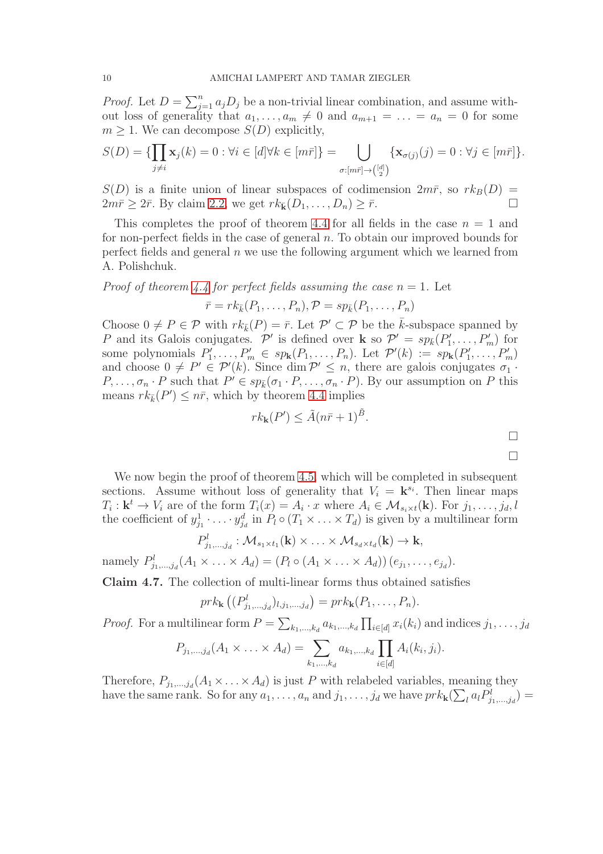*Proof.* Let  $D = \sum_{j=1}^{n} a_j D_j$  be a non-trivial linear combination, and assume without loss of generality that  $a_1, \ldots, a_m \neq 0$  and  $a_{m+1} = \ldots = a_n = 0$  for some  $m \geq 1$ . We can decompose  $S(D)$  explicitly,

$$
S(D) = \{ \prod_{j \neq i} \mathbf{x}_j(k) = 0 : \forall i \in [d] \forall k \in [m\bar{r}] \} = \bigcup_{\sigma : [m\bar{r}] \to \binom{[d]}{2}} \{ \mathbf{x}_{\sigma(j)}(j) = 0 : \forall j \in [m\bar{r}] \}.
$$

 $S(D)$  is a finite union of linear subspaces of codimension  $2m\bar{r}$ , so  $rk_B(D)$  =  $2m\bar{r} \geq 2\bar{r}$ . By claim [2.2,](#page-2-0) we get  $rk_{\bar{k}}(D_1,\ldots,D_n) \geq \bar{r}$ .

This completes the proof of theorem [4.4](#page-7-0) for all fields in the case  $n = 1$  and for non-perfect fields in the case of general  $n$ . To obtain our improved bounds for perfect fields and general  $n$  we use the following argument which we learned from A. Polishchuk.

*Proof of theorem [4.4](#page-7-0) for perfect fields assuming the case n* = 1. Let

$$
\bar{r} = rk_{\bar{k}}(P_1, \ldots, P_n), \mathcal{P} = sp_{\bar{k}}(P_1, \ldots, P_n)
$$

Choose  $0 \neq P \in \mathcal{P}$  with  $rk_{\bar{k}}(P) = \bar{r}$ . Let  $\mathcal{P}' \subset \mathcal{P}$  be the  $\bar{k}$ -subspace spanned by P and its Galois conjugates. P' is defined over **k** so  $\mathcal{P}' = sp_{\bar{k}}(P'_1, \ldots, P'_m)$  for some polynomials  $P'_1, \ldots, P'_m \in sp_{\mathbf{k}}(P_1, \ldots, P_n)$ . Let  $\mathcal{P}'(k) := sp_{\mathbf{k}}(P'_1, \ldots, P'_m)$ and choose  $0 \neq P' \in \mathcal{P}'(k)$ . Since dim  $\mathcal{P}' \leq n$ , there are galois conjugates  $\sigma_1$ .  $P, \ldots, \sigma_n \cdot P$  such that  $P' \in sp_{\bar{k}}(\sigma_1 \cdot P, \ldots, \sigma_n \cdot P)$ . By our assumption on P this means  $rk_{\bar{k}}(P') \leq n\bar{r}$ , which by theorem [4.4](#page-7-0) implies

$$
rk_{\mathbf{k}}(P') \leq \tilde{A}(n\bar{r}+1)^{\tilde{B}}.
$$

We now begin the proof of theorem [4.5,](#page-8-0) which will be completed in subsequent sections. Assume without loss of generality that  $V_i = \mathbf{k}^{s_i}$ . Then linear maps  $T_i: \mathbf{k}^t \to V_i$  are of the form  $T_i(x) = A_i \cdot x$  where  $A_i \in \mathcal{M}_{s_i \times t}(\mathbf{k})$ . For  $j_1, \ldots, j_d, l$ the coefficient of  $y_{j_1}^1 \cdot \ldots \cdot y_{j_d}^d$  in  $P_l \circ (T_1 \times \ldots \times T_d)$  is given by a multilinear form

$$
P_{j_1,\ldots,j_d}^l: \mathcal{M}_{s_1\times t_1}(\mathbf{k})\times \ldots \times \mathcal{M}_{s_d\times t_d}(\mathbf{k})\to \mathbf{k},
$$

namely  $P_{j_1,...,j_d}^l(A_1 \times ... \times A_d) = (P_l \circ (A_1 \times ... \times A_d)) (e_{j_1},...,e_{j_d}).$ 

<span id="page-9-0"></span>Claim 4.7. The collection of multi-linear forms thus obtained satisfies

$$
prk_{\mathbf{k}}\left((P_{j_1,\ldots,j_d}^l)_{l,j_1,\ldots,j_d}\right)=prk_{\mathbf{k}}(P_1,\ldots,P_n).
$$

*Proof.* For a multilinear form  $P = \sum_{k_1,\dots,k_d} a_{k_1,\dots,k_d} \prod_{i\in[d]} x_i(k_i)$  and indices  $j_1,\dots,j_d$ 

$$
P_{j_1,...,j_d}(A_1 \times ... \times A_d) = \sum_{k_1,...,k_d} a_{k_1,...,k_d} \prod_{i \in [d]} A_i(k_i,j_i).
$$

Therefore,  $P_{j_1,...,j_d}(A_1 \times \ldots \times A_d)$  is just P with relabeled variables, meaning they have the same rank. So for any  $a_1, \ldots, a_n$  and  $j_1, \ldots, j_d$  we have  $prk_{\mathbf{k}}(\sum_l a_l P^l_{j_1,\ldots,j_d}) =$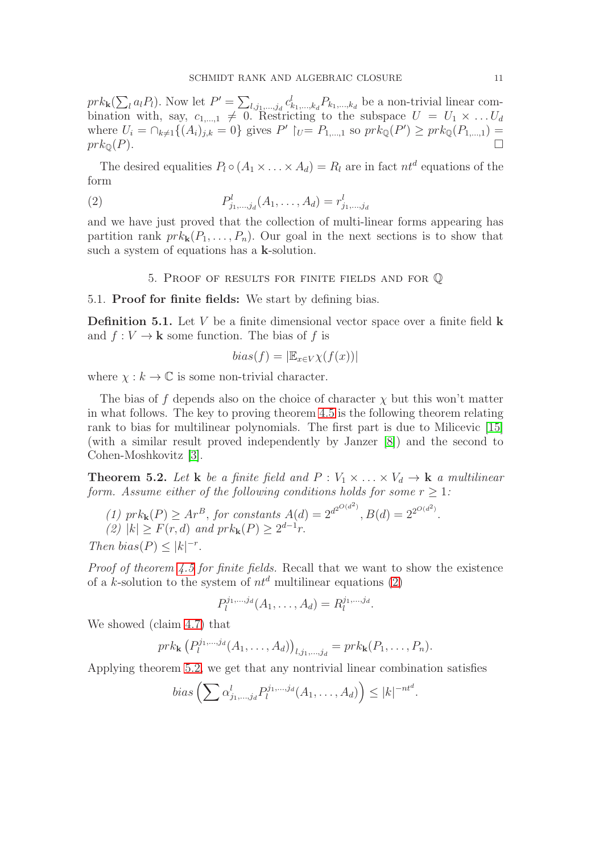$prk_{\mathbf{k}}(\sum_{l}a_{l}P_{l})$ . Now let  $P'=\sum_{l,j_{1},...,j_{d}}c_{k_{1},...,k_{d}}^{l}P_{k_{1},...,k_{d}}$  be a non-trivial linear combination with, say,  $c_{1,\dots,1} \neq 0$ . Restricting to the subspace  $U = U_1 \times \dots U_d$ where  $U_i = \bigcap_{k \neq 1} \{(A_i)_{j,k} = 0\}$  gives  $P' \mid_{U} = P_{1,...,1}$  so  $prk_{\mathbb{Q}}(P') \geq prk_{\mathbb{Q}}(P_{1,...,1}) =$  $prk_{\mathbb{Q}}(P).$ 

The desired equalities  $P_l \circ (A_1 \times \ldots \times A_d) = R_l$  are in fact  $nt^d$  equations of the form

(2) 
$$
P_{j_1,\dots,j_d}^l(A_1,\dots,A_d) = r_{j_1,\dots,j_d}^l
$$

and we have just proved that the collection of multi-linear forms appearing has partition rank  $prk_{\mathbf{k}}(P_1,\ldots,P_n)$ . Our goal in the next sections is to show that such a system of equations has a k-solution.

<span id="page-10-0"></span>5. Proof of results for finite fields and for Q

# 5.1. Proof for finite fields: We start by defining bias.

**Definition 5.1.** Let  $V$  be a finite dimensional vector space over a finite field  $\bf{k}$ and  $f: V \to \mathbf{k}$  some function. The bias of f is

$$
bias(f) = |\mathbb{E}_{x \in V} \chi(f(x))|
$$

where  $\chi : k \to \mathbb{C}$  is some non-trivial character.

The bias of f depends also on the choice of character  $\chi$  but this won't matter in what follows. The key to proving theorem [4.5](#page-8-0) is the following theorem relating rank to bias for multilinear polynomials. The first part is due to Milicevic [\[15\]](#page-16-5) (with a similar result proved independently by Janzer [\[8\]](#page-15-11)) and the second to Cohen-Moshkovitz [\[3\]](#page-15-5).

<span id="page-10-1"></span>**Theorem 5.2.** Let **k** be a finite field and  $P: V_1 \times \ldots \times V_d \rightarrow \mathbf{k}$  a multilinear form. Assume either of the following conditions holds for some  $r \geq 1$ :

(1) 
$$
prk_{\mathbf{k}}(P) \geq Ar^B
$$
, for constants  $A(d) = 2^{d^{2O(d^2)}}$ ,  $B(d) = 2^{2^{O(d^2)}}$ .  
\n(2)  $|k| \geq F(r, d)$  and  $prk_{\mathbf{k}}(P) \geq 2^{d-1}r$ .  
\nThen bias $(P) \leq |k|^{-r}$ .

Proof of theorem [4.5](#page-8-0) for finite fields. Recall that we want to show the existence of a k-solution to the system of  $nt^d$  multilinear equations [\(2\)](#page-10-0)

$$
P_l^{j_1,\ldots,j_d}(A_1,\ldots,A_d)=R_l^{j_1,\ldots,j_d}.
$$

We showed (claim [4.7\)](#page-9-0) that

$$
prk_{\mathbf{k}}(P_l^{j_1,...,j_d}(A_1,...,A_d))_{l,j_1,...,j_d} = prk_{\mathbf{k}}(P_1,...,P_n).
$$

Applying theorem [5](#page-10-1).2, we get that any nontrivial linear combination satisfies

$$
bias\left(\sum \alpha_{j_1,\dots,j_d}^l P_l^{j_1,\dots,j_d}(A_1,\dots,A_d)\right) \le |k|^{-nt^d}
$$

.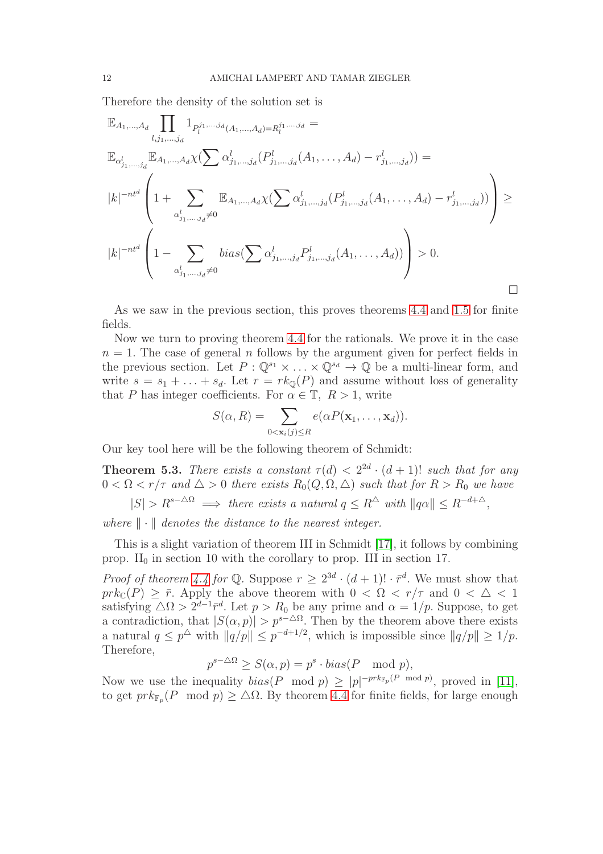Therefore the density of the solution set is

$$
\mathbb{E}_{A_1,...,A_d} \prod_{l,j_1,...,j_d} 1_{P_l^{j_1,...,j_d}(A_1,...,A_d) = R_l^{j_1,...,j_d}} =
$$
\n
$$
\mathbb{E}_{\alpha_{j_1,...,j_d}^l} \mathbb{E}_{A_1,...,A_d} \chi \left( \sum \alpha_{j_1,...,j_d}^l (P_{j_1,...,j_d}^l (A_1,...,A_d) - r_{j_1,...,j_d}^l) \right) =
$$
\n
$$
|k|^{-nt^d} \left( 1 + \sum_{\alpha_{j_1,...,j_d}^l \neq 0}^{\alpha_{j_1,...,j_d}^l \neq 0} \mathbb{E}_{A_1,...,A_d} \chi \left( \sum \alpha_{j_1,...,j_d}^l (P_{j_1,...,j_d}^l (A_1,...,A_d) - r_{j_1,...,j_d}^l) \right) \right) \ge
$$
\n
$$
|k|^{-nt^d} \left( 1 - \sum_{\alpha_{j_1,...,j_d}^l \neq 0}^{\alpha_{j_1,...,j_d}^l \neq 0} \text{bias} \left( \sum \alpha_{j_1,...,j_d}^l P_{j_1,...,j_d}^l (A_1,...,A_d) \right) \right) > 0.
$$

As we saw in the previous section, this proves theorems [4.4](#page-7-0) and [1.5](#page-1-0) for finite fields.

Now we turn to proving theorem [4.4](#page-7-0) for the rationals. We prove it in the case  $n = 1$ . The case of general n follows by the argument given for perfect fields in the previous section. Let  $P: \mathbb{Q}^{s_1} \times ... \times \mathbb{Q}^{s_d} \to \mathbb{Q}$  be a multi-linear form, and write  $s = s_1 + \ldots + s_d$ . Let  $r = rk_{\mathbb{Q}}(P)$  and assume without loss of generality that P has integer coefficients. For  $\alpha \in \mathbb{T}$ ,  $R > 1$ , write

$$
S(\alpha, R) = \sum_{0 < \mathbf{x}_i(j) \leq R} e(\alpha P(\mathbf{x}_1, \dots, \mathbf{x}_d)).
$$

Our key tool here will be the following theorem of Schmidt:

**Theorem 5.3.** There exists a constant  $\tau(d) < 2^{2d} \cdot (d+1)!$  such that for any  $0 < \Omega < r/\tau$  and  $\Delta > 0$  there exists  $R_0(Q, \Omega, \Delta)$  such that for  $R > R_0$  we have

 $|S| > R^{s-\Delta\Omega} \implies$  there exists a natural  $q \leq R^{\Delta}$  with  $||q\alpha|| \leq R^{-d+\Delta}$ ,

where  $\|\cdot\|$  denotes the distance to the nearest integer.

This is a slight variation of theorem III in Schmidt [\[17\]](#page-16-0), it follows by combining prop.  $II_0$  in section 10 with the corollary to prop. III in section 17.

*Proof of theorem [4.4](#page-7-0) for*  $\mathbb{Q}$ . Suppose  $r \geq 2^{3d} \cdot (d+1)! \cdot \bar{r}^d$ . We must show that  $prk_{\mathbb{C}}(P) \geq \overline{r}$ . Apply the above theorem with  $0 < \Omega < r/\tau$  and  $0 < \Delta < 1$ satisfying  $\Delta \Omega > 2^{d-1} \bar{r}^d$ . Let  $p > R_0$  be any prime and  $\alpha = 1/p$ . Suppose, to get a contradiction, that  $|S(\alpha, p)| > p^{s-\Delta\Omega}$ . Then by the theorem above there exists a natural  $q \leq p^{\Delta}$  with  $||q/p|| \leq p^{-d+1/2}$ , which is impossible since  $||q/p|| \geq 1/p$ . Therefore,

$$
p^{s-\Delta\Omega} \ge S(\alpha, p) = p^s \cdot bias(P \mod p),
$$

Now we use the inequality  $bias(P \mod p) \ge |p|^{-pr k_{\mathbb{F}_p}(P \mod p)}$ , proved in [\[11\]](#page-15-12), to get  $pr k_{\mathbb{F}_p}(P \mod p) \geq \Delta\Omega$ . By theorem [4.4](#page-7-0) for finite fields, for large enough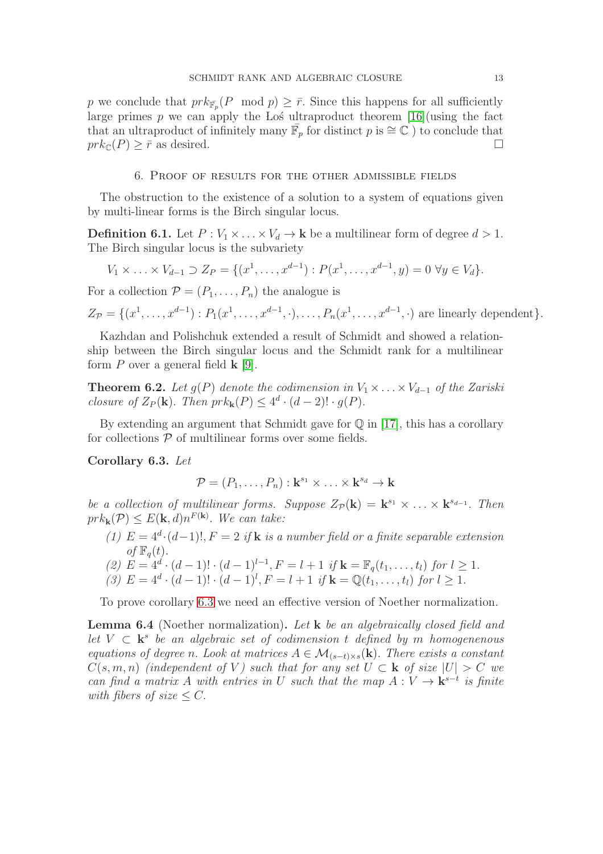p we conclude that  $pr k_{\bar{\mathbb{F}}_p}(P \mod p) \geq \bar{r}$ . Since this happens for all sufficiently large primes p we can apply the Los ultraproduct theorem  $[16]$ (using the fact that an ultraproduct of infinitely many  $\overline{\mathbb{F}}_p$  for distinct p is  $\cong \mathbb{C}$ ) to conclude that  $prk_{\mathbb{C}}(P) \geq \overline{r}$  as desired.

### 6. Proof of results for the other admissible fields

The obstruction to the existence of a solution to a system of equations given by multi-linear forms is the Birch singular locus.

**Definition 6.1.** Let  $P: V_1 \times \ldots \times V_d \to \mathbf{k}$  be a multilinear form of degree  $d > 1$ . The Birch singular locus is the subvariety

$$
V_1 \times \ldots \times V_{d-1} \supset Z_P = \{ (x^1, \ldots, x^{d-1}) : P(x^1, \ldots, x^{d-1}, y) = 0 \,\,\forall y \in V_d \}.
$$

For a collection  $\mathcal{P} = (P_1, \ldots, P_n)$  the analogue is

 $Z_{\mathcal{P}} = \{(x^1, \ldots, x^{d-1}) : P_1(x^1, \ldots, x^{d-1}, \cdot), \ldots, P_n(x^1, \ldots, x^{d-1}, \cdot) \text{ are linearly dependent}\}.$ 

Kazhdan and Polishchuk extended a result of Schmidt and showed a relationship between the Birch singular locus and the Schmidt rank for a multilinear form  $P$  over a general field  $\bf{k}$  [\[9\]](#page-15-4).

<span id="page-12-2"></span>**Theorem 6.2.** Let  $g(P)$  denote the codimension in  $V_1 \times \ldots \times V_{d-1}$  of the Zariski closure of  $Z_P(\mathbf{k})$ . Then  $prk_{\mathbf{k}}(P) \leq 4^d \cdot (d-2)! \cdot g(P)$ .

By extending an argument that Schmidt gave for  $\mathbb Q$  in [\[17\]](#page-16-0), this has a corollary for collections  $P$  of multilinear forms over some fields.

<span id="page-12-0"></span>Corollary 6.3. Let

 $\mathcal{P} = (P_1, \ldots, P_n) : \mathbf{k}^{s_1} \times \ldots \times \mathbf{k}^{s_d} \to \mathbf{k}$ 

be a collection of multilinear forms. Suppose  $Z_{\mathcal{P}}(\mathbf{k}) = \mathbf{k}^{s_1} \times \ldots \times \mathbf{k}^{s_{d-1}}$ . Then  $prk_{\mathbf{k}}(\mathcal{P}) \leq E(\mathbf{k}, d)n^{F(\mathbf{k})}$ . We can take:

- (1)  $E = 4^d \cdot (d-1)!$ ,  $F = 2$  if **k** is a number field or a finite separable extension of  $\mathbb{F}_a(t)$ .
- (2)  $E = 4^d \cdot (d-1)! \cdot (d-1)^{l-1}, F = l+1 \text{ if } \mathbf{k} = \mathbb{F}_q(t_1, \ldots, t_l) \text{ for } l \geq 1.$
- (3)  $E = 4^d \cdot (d-1)! \cdot (d-1)^l$ ,  $F = l+1$  if  $\mathbf{k} = \mathbb{Q}(t_1, \ldots, t_l)$  for  $l \ge 1$ .

To prove corollary [6.3](#page-12-0) we need an effective version of Noether normalization.

<span id="page-12-1"></span>Lemma 6.4 (Noether normalization). Let k be an algebraically closed field and let  $V \subset \mathbf{k}^s$  be an algebraic set of codimension t defined by m homogenenous equations of degree n. Look at matrices  $A \in \mathcal{M}_{(s-t)\times s}(\mathbf{k})$ . There exists a constant  $C(s, m, n)$  (independent of V) such that for any set  $U \subset \mathbf{k}$  of size  $|U| > C$  we can find a matrix A with entries in U such that the map  $A: V \to \mathbf{k}^{s-t}$  is finite with fibers of size  $\leq C$ .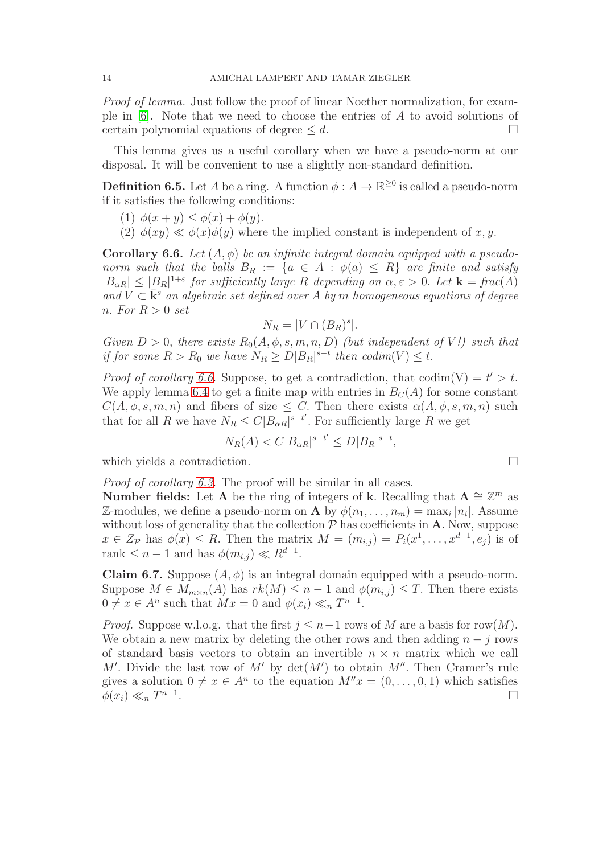Proof of lemma. Just follow the proof of linear Noether normalization, for example in [\[6\]](#page-15-13). Note that we need to choose the entries of A to avoid solutions of certain polynomial equations of degree  $\leq d$ .

This lemma gives us a useful corollary when we have a pseudo-norm at our disposal. It will be convenient to use a slightly non-standard definition.

**Definition 6.5.** Let A be a ring. A function  $\phi: A \to \mathbb{R}^{\geq 0}$  is called a pseudo-norm if it satisfies the following conditions:

- (1)  $\phi(x + y) \leq \phi(x) + \phi(y)$ .
- (2)  $\phi(xy) \ll \phi(x)\phi(y)$  where the implied constant is independent of x, y.

<span id="page-13-0"></span>**Corollary 6.6.** Let  $(A, \phi)$  be an infinite integral domain equipped with a pseudonorm such that the balls  $B_R := \{a \in A : \phi(a) \leq R\}$  are finite and satisfy  $|B_{\alpha R}| \leq |B_R|^{1+\varepsilon}$  for sufficiently large R depending on  $\alpha, \varepsilon > 0$ . Let  $\mathbf{k} = \text{frac}(A)$ and  $V \subset \bar{k}^s$  an algebraic set defined over A by m homogeneous equations of degree n. For  $R > 0$  set

$$
N_R = |V \cap (B_R)^s|.
$$

Given  $D > 0$ , there exists  $R_0(A, \phi, s, m, n, D)$  (but independent of V!) such that if for some  $R > R_0$  we have  $N_R \ge D|B_R|^{s-t}$  then  $codim(V) \le t$ .

*Proof of corollary [6.6.](#page-13-0)* Suppose, to get a contradiction, that codim(V) =  $t' > t$ . We apply lemma [6.4](#page-12-1) to get a finite map with entries in  $B<sub>C</sub>(A)$  for some constant  $C(A, \phi, s, m, n)$  and fibers of size  $\leq C$ . Then there exists  $\alpha(A, \phi, s, m, n)$  such that for all R we have  $N_R \leq C|B_{\alpha R}|^{s-t'}$ . For sufficiently large R we get

$$
N_R(A) < C|B_{\alpha R}|^{s-t'} \le D|B_R|^{s-t},
$$

which yields a contradiction.  $\hfill \square$ 

Proof of corollary [6.3.](#page-12-0) The proof will be similar in all cases.

**Number fields:** Let A be the ring of integers of k. Recalling that  $A \cong \mathbb{Z}^m$  as Z-modules, we define a pseudo-norm on **A** by  $\phi(n_1, \ldots, n_m) = \max_i |n_i|$ . Assume without loss of generality that the collection  $P$  has coefficients in  $A$ . Now, suppose  $x \in Z_{\mathcal{P}}$  has  $\phi(x) \leq R$ . Then the matrix  $M = (m_{i,j}) = P_i(x^1, \ldots, x^{d-1}, e_j)$  is of rank  $\leq n-1$  and has  $\phi(m_{i,j}) \ll R^{d-1}$ .

<span id="page-13-1"></span>**Claim 6.7.** Suppose  $(A, \phi)$  is an integral domain equipped with a pseudo-norm. Suppose  $M \in M_{m \times n}(A)$  has  $rk(M) \leq n-1$  and  $\phi(m_{i,j}) \leq T$ . Then there exists  $0 \neq x \in A^n$  such that  $Mx = 0$  and  $\phi(x_i) \ll_n T^{n-1}$ .

*Proof.* Suppose w.l.o.g. that the first  $j \leq n-1$  rows of M are a basis for row(M). We obtain a new matrix by deleting the other rows and then adding  $n - j$  rows of standard basis vectors to obtain an invertible  $n \times n$  matrix which we call M'. Divide the last row of M' by  $\det(M')$  to obtain M''. Then Cramer's rule gives a solution  $0 \neq x \in A^n$  to the equation  $M''x = (0, \ldots, 0, 1)$  which satisfies  $\phi(x_i) \ll_n T^{n-1}$ .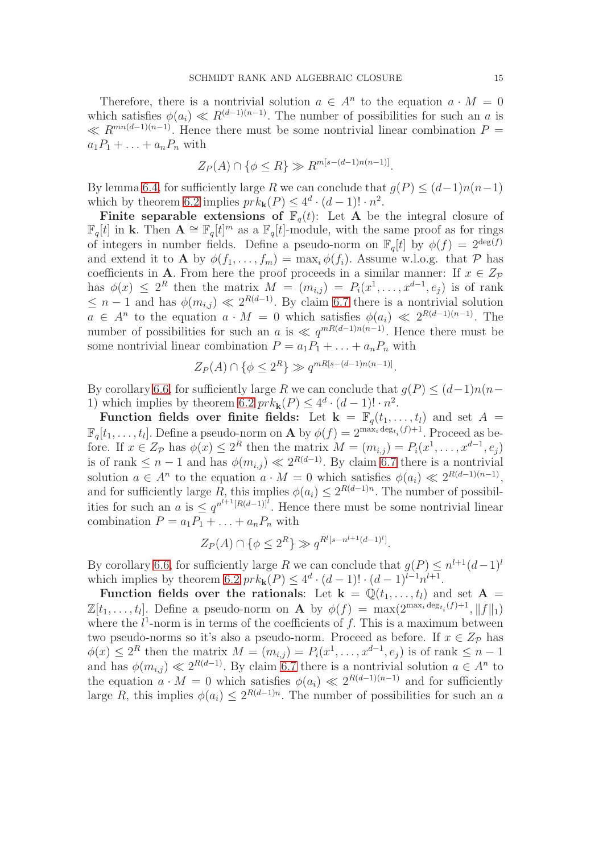Therefore, there is a nontrivial solution  $a \in A^n$  to the equation  $a \cdot M = 0$ which satisfies  $\phi(a_i) \ll R^{(d-1)(n-1)}$ . The number of possibilities for such an a is  $\ll R^{mn(d-1)(n-1)}$ . Hence there must be some nontrivial linear combination  $P =$  $a_1P_1 + \ldots + a_nP_n$  with

$$
Z_P(A) \cap \{ \phi \le R \} \gg R^{m[s - (d-1)n(n-1)]}.
$$

By lemma [6.4,](#page-12-1) for sufficiently large R we can conclude that  $q(P) \leq (d-1)n(n-1)$ which by theorem [6.2](#page-12-2) implies  $prk_{\mathbf{k}}(P) \leq 4^d \cdot (d-1)! \cdot n^2$ .

Finite separable extensions of  $\mathbb{F}_q(t)$ : Let A be the integral closure of  $\mathbb{F}_q[t]$  in k. Then  $\mathbf{A} \cong \mathbb{F}_q[t]^m$  as a  $\mathbb{F}_q[t]$ -module, with the same proof as for rings of integers in number fields. Define a pseudo-norm on  $\mathbb{F}_q[t]$  by  $\phi(f) = 2^{\deg(f)}$ and extend it to **A** by  $\phi(f_1, \ldots, f_m) = \max_i \phi(f_i)$ . Assume w.l.o.g. that P has coefficients in **A**. From here the proof proceeds in a similar manner: If  $x \in Z_{\mathcal{P}}$ has  $\phi(x) \leq 2^R$  then the matrix  $M = (m_{i,j}) = P_i(x^1, \ldots, x^{d-1}, e_j)$  is of rank  $\leq n-1$  and has  $\phi(m_{i,j}) \ll 2^{R(d-1)}$ . By claim [6.7](#page-13-1) there is a nontrivial solution  $a \in A^n$  to the equation  $a \cdot M = 0$  which satisfies  $\phi(a_i) \ll 2^{R(d-1)(n-1)}$ . The number of possibilities for such an a is  $\ll q^{mR(d-1)n(n-1)}$ . Hence there must be some nontrivial linear combination  $P = a_1 P_1 + \ldots + a_n P_n$  with

$$
Z_P(A) \cap \{ \phi \le 2^R \} \gg q^{mR[s - (d-1)n(n-1)]}.
$$

By corollary [6.6,](#page-13-0) for sufficiently large R we can conclude that  $g(P) \leq (d-1)n(n-1)$ 1) which implies by theorem [6.2](#page-12-2)  $prk_{\mathbf{k}}(P) \leq 4^d \cdot (d-1)! \cdot n^2$ .

Function fields over finite fields: Let  $k = \mathbb{F}_q(t_1, \ldots, t_l)$  and set  $A =$  $\mathbb{F}_q[t_1,\ldots,t_l].$  Define a pseudo-norm on **A** by  $\phi(f) = 2^{\max_i \deg_{t_i}(f)+1}$ . Proceed as before. If  $x \in Z_{\mathcal{P}}$  has  $\phi(x) \leq 2^R$  then the matrix  $M = (m_{i,j}) = P_i(x^1, \ldots, x^{d-1}, e_j)$ is of rank  $\leq n-1$  and has  $\phi(m_{i,j}) \ll 2^{R(d-1)}$ . By claim [6.7](#page-13-1) there is a nontrivial solution  $a \in A^n$  to the equation  $a \cdot M = 0$  which satisfies  $\phi(a_i) \ll 2^{R(d-1)(n-1)}$ , and for sufficiently large R, this implies  $\phi(a_i) \leq 2^{R(d-1)n}$ . The number of possibilities for such an a is  $\leq q^{n^{l+1}[R(d-1)]}$ . Hence there must be some nontrivial linear combination  $P = a_1 P_1 + \ldots + a_n P_n$  with

$$
Z_P(A) \cap \{ \phi \le 2^R \} \gg q^{R^l [s - n^{l+1} (d-1)^l]}.
$$

By corollary [6.6,](#page-13-0) for sufficiently large R we can conclude that  $g(P) \leq n^{l+1}(d-1)^{l}$ which implies by theorem [6.2](#page-12-2)  $prk_{\mathbf{k}}(P) \leq 4^d \cdot (d-1)! \cdot (d-1)^{l-1} n^{l+1}$ .

Function fields over the rationals: Let  $k = \mathbb{Q}(t_1, \ldots, t_l)$  and set  $A =$  $\mathbb{Z}[t_1,\ldots,t_l]$ . Define a pseudo-norm on **A** by  $\phi(f) = \max(2^{\max_i \deg_{t_i}(f)+1}, \|f\|_1)$ where the  $l^1$ -norm is in terms of the coefficients of f. This is a maximum between two pseudo-norms so it's also a pseudo-norm. Proceed as before. If  $x \in Z_{\mathcal{P}}$  has  $\phi(x) \leq 2^R$  then the matrix  $M = (m_{i,j}) = P_i(x^1, \ldots, x^{d-1}, e_j)$  is of rank  $\leq n-1$ and has  $\phi(m_{i,j}) \ll 2^{R(d-1)}$ . By claim [6.7](#page-13-1) there is a nontrivial solution  $a \in A^n$  to the equation  $a \cdot M = 0$  which satisfies  $\phi(a_i) \ll 2^{R(d-1)(n-1)}$  and for sufficiently large R, this implies  $\phi(a_i) \leq 2^{R(d-1)n}$ . The number of possibilities for such an a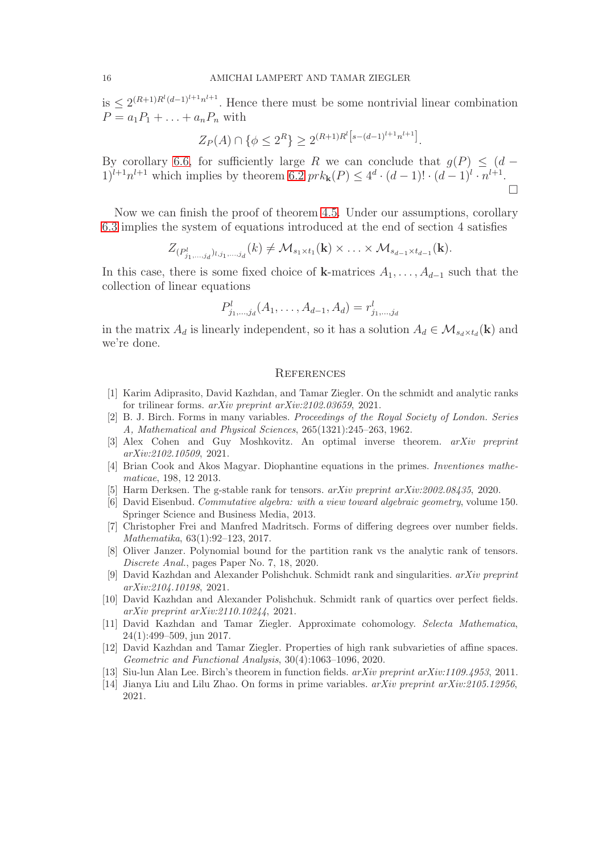is  $\leq 2^{(R+1)R^l(d-1)^{l+1}n^{l+1}}$ . Hence there must be some nontrivial linear combination  $P = a_1 P_1 + \ldots + a_n P_n$  with

$$
Z_P(A) \cap \{ \phi \le 2^R \} \ge 2^{(R+1)R^l \left[ s - (d-1)^{l+1} n^{l+1} \right]}.
$$

By corollary [6.6,](#page-13-0) for sufficiently large R we can conclude that  $g(P) \leq (d 1)^{l+1}n^{l+1}$  which implies by theorem [6.2](#page-12-2)  $prk_{\mathbf{k}}(P) \leq 4^d \cdot (d-1)! \cdot (d-1)^l \cdot n^{l+1}$ .  $\Box$ 

Now we can finish the proof of theorem [4.5.](#page-8-0) Under our assumptions, corollary [6.3](#page-12-0) implies the system of equations introduced at the end of section 4 satisfies

$$
Z_{(P^l_{j_1,\ldots,j_d})_{l,j_1,\ldots,j_d}}(k) \neq \mathcal{M}_{s_1 \times t_1}(\mathbf{k}) \times \ldots \times \mathcal{M}_{s_{d-1} \times t_{d-1}}(\mathbf{k}).
$$

In this case, there is some fixed choice of k-matrices  $A_1, \ldots, A_{d-1}$  such that the collection of linear equations

$$
P_{j_1,\dots,j_d}^l(A_1,\dots,A_{d-1},A_d)=r_{j_1,\dots,j_d}^l
$$

in the matrix  $A_d$  is linearly independent, so it has a solution  $A_d \in \mathcal{M}_{s_d \times t_d}(\mathbf{k})$  and we're done.

### **REFERENCES**

- <span id="page-15-2"></span>[1] Karim Adiprasito, David Kazhdan, and Tamar Ziegler. On the schmidt and analytic ranks for trilinear forms. *arXiv preprint arXiv:2102.03659*, 2021.
- <span id="page-15-3"></span>[2] B. J. Birch. Forms in many variables. *Proceedings of the Royal Society of London. Series A, Mathematical and Physical Sciences*, 265(1321):245–263, 1962.
- <span id="page-15-5"></span>[3] Alex Cohen and Guy Moshkovitz. An optimal inverse theorem. *arXiv preprint arXiv:2102.10509*, 2021.
- <span id="page-15-6"></span>[4] Brian Cook and Akos Magyar. Diophantine equations in the primes. *Inventiones mathematicae*, 198, 12 2013.
- <span id="page-15-13"></span><span id="page-15-0"></span>[5] Harm Derksen. The g-stable rank for tensors. *arXiv preprint arXiv:2002.08435*, 2020.
- [6] David Eisenbud. *Commutative algebra: with a view toward algebraic geometry*, volume 150. Springer Science and Business Media, 2013.
- <span id="page-15-8"></span>[7] Christopher Frei and Manfred Madritsch. Forms of differing degrees over number fields. *Mathematika*, 63(1):92–123, 2017.
- <span id="page-15-11"></span>[8] Oliver Janzer. Polynomial bound for the partition rank vs the analytic rank of tensors. *Discrete Anal.*, pages Paper No. 7, 18, 2020.
- <span id="page-15-4"></span>[9] David Kazhdan and Alexander Polishchuk. Schmidt rank and singularities. *arXiv preprint arXiv:2104.10198*, 2021.
- <span id="page-15-1"></span>[10] David Kazhdan and Alexander Polishchuk. Schmidt rank of quartics over perfect fields. *arXiv preprint arXiv:2110.10244*, 2021.
- <span id="page-15-12"></span>[11] David Kazhdan and Tamar Ziegler. Approximate cohomology. *Selecta Mathematica*, 24(1):499–509, jun 2017.
- <span id="page-15-10"></span>[12] David Kazhdan and Tamar Ziegler. Properties of high rank subvarieties of affine spaces. *Geometric and Functional Analysis*, 30(4):1063–1096, 2020.
- <span id="page-15-9"></span><span id="page-15-7"></span>[13] Siu-lun Alan Lee. Birch's theorem in function fields. *arXiv preprint arXiv:1109.4953*, 2011.
- [14] Jianya Liu and Lilu Zhao. On forms in prime variables. *arXiv preprint arXiv:2105.12956*, 2021.